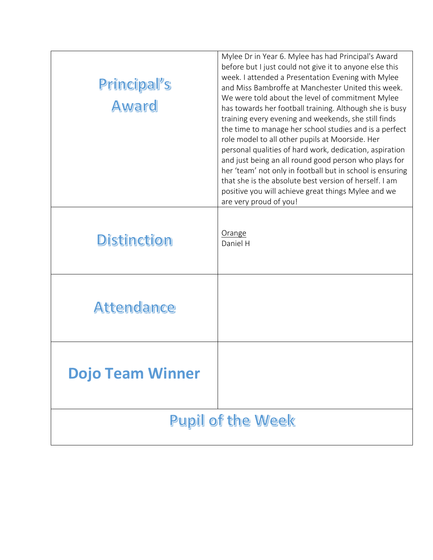| Principal's<br>Award     | Mylee Dr in Year 6. Mylee has had Principal's Award<br>before but I just could not give it to anyone else this<br>week. I attended a Presentation Evening with Mylee<br>and Miss Bambroffe at Manchester United this week.<br>We were told about the level of commitment Mylee<br>has towards her football training. Although she is busy<br>training every evening and weekends, she still finds<br>the time to manage her school studies and is a perfect<br>role model to all other pupils at Moorside. Her<br>personal qualities of hard work, dedication, aspiration<br>and just being an all round good person who plays for<br>her 'team' not only in football but in school is ensuring<br>that she is the absolute best version of herself. I am<br>positive you will achieve great things Mylee and we<br>are very proud of you! |
|--------------------------|--------------------------------------------------------------------------------------------------------------------------------------------------------------------------------------------------------------------------------------------------------------------------------------------------------------------------------------------------------------------------------------------------------------------------------------------------------------------------------------------------------------------------------------------------------------------------------------------------------------------------------------------------------------------------------------------------------------------------------------------------------------------------------------------------------------------------------------------|
| <b>Distinction</b>       | Orange<br>Daniel H                                                                                                                                                                                                                                                                                                                                                                                                                                                                                                                                                                                                                                                                                                                                                                                                                         |
| <b>Attendance</b>        |                                                                                                                                                                                                                                                                                                                                                                                                                                                                                                                                                                                                                                                                                                                                                                                                                                            |
| <b>Dojo Team Winner</b>  |                                                                                                                                                                                                                                                                                                                                                                                                                                                                                                                                                                                                                                                                                                                                                                                                                                            |
| <b>Pupil of the Week</b> |                                                                                                                                                                                                                                                                                                                                                                                                                                                                                                                                                                                                                                                                                                                                                                                                                                            |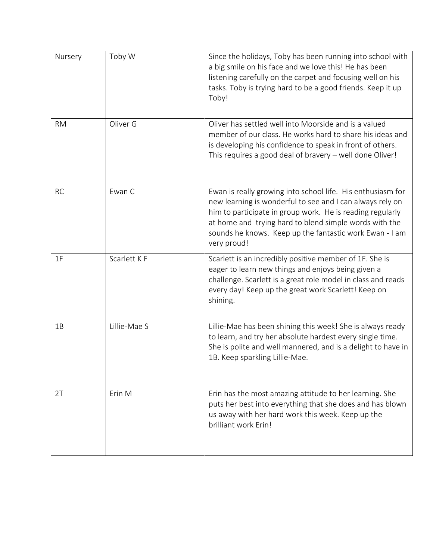| Nursery   | Toby W       | Since the holidays, Toby has been running into school with<br>a big smile on his face and we love this! He has been<br>listening carefully on the carpet and focusing well on his<br>tasks. Toby is trying hard to be a good friends. Keep it up<br>Toby!                                                                 |
|-----------|--------------|---------------------------------------------------------------------------------------------------------------------------------------------------------------------------------------------------------------------------------------------------------------------------------------------------------------------------|
| <b>RM</b> | Oliver G     | Oliver has settled well into Moorside and is a valued<br>member of our class. He works hard to share his ideas and<br>is developing his confidence to speak in front of others.<br>This requires a good deal of bravery - well done Oliver!                                                                               |
| <b>RC</b> | Ewan C       | Ewan is really growing into school life. His enthusiasm for<br>new learning is wonderful to see and I can always rely on<br>him to participate in group work. He is reading regularly<br>at home and trying hard to blend simple words with the<br>sounds he knows. Keep up the fantastic work Ewan - I am<br>very proud! |
| 1F        | Scarlett K F | Scarlett is an incredibly positive member of 1F. She is<br>eager to learn new things and enjoys being given a<br>challenge. Scarlett is a great role model in class and reads<br>every day! Keep up the great work Scarlett! Keep on<br>shining.                                                                          |
| 1B        | Lillie-Mae S | Lillie-Mae has been shining this week! She is always ready<br>to learn, and try her absolute hardest every single time.<br>She is polite and well mannered, and is a delight to have in<br>1B. Keep sparkling Lillie-Mae.                                                                                                 |
| 2T        | Erin M       | Erin has the most amazing attitude to her learning. She<br>puts her best into everything that she does and has blown<br>us away with her hard work this week. Keep up the<br>brilliant work Erin!                                                                                                                         |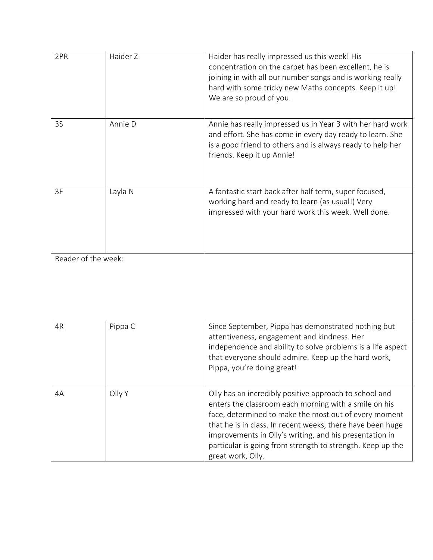| 2PR | Haider Z            | Haider has really impressed us this week! His<br>concentration on the carpet has been excellent, he is<br>joining in with all our number songs and is working really<br>hard with some tricky new Maths concepts. Keep it up!<br>We are so proud of you.                                                                                                                             |
|-----|---------------------|--------------------------------------------------------------------------------------------------------------------------------------------------------------------------------------------------------------------------------------------------------------------------------------------------------------------------------------------------------------------------------------|
| 3S  | Annie D             | Annie has really impressed us in Year 3 with her hard work<br>and effort. She has come in every day ready to learn. She<br>is a good friend to others and is always ready to help her<br>friends. Keep it up Annie!                                                                                                                                                                  |
| 3F  | Layla N             | A fantastic start back after half term, super focused,<br>working hard and ready to learn (as usual!) Very<br>impressed with your hard work this week. Well done.                                                                                                                                                                                                                    |
|     | Reader of the week: |                                                                                                                                                                                                                                                                                                                                                                                      |
| 4R  | Pippa C             | Since September, Pippa has demonstrated nothing but<br>attentiveness, engagement and kindness. Her<br>independence and ability to solve problems is a life aspect<br>that everyone should admire. Keep up the hard work,<br>Pippa, you're doing great!                                                                                                                               |
| 4A  | Olly Y              | Olly has an incredibly positive approach to school and<br>enters the classroom each morning with a smile on his<br>face, determined to make the most out of every moment<br>that he is in class. In recent weeks, there have been huge<br>improvements in Olly's writing, and his presentation in<br>particular is going from strength to strength. Keep up the<br>great work, Olly. |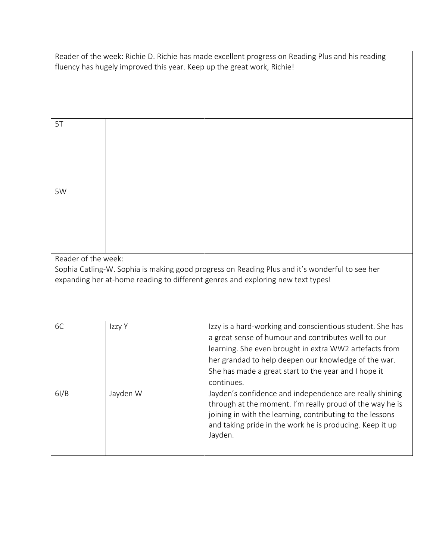| Reader of the week: Richie D. Richie has made excellent progress on Reading Plus and his reading |  |
|--------------------------------------------------------------------------------------------------|--|
| fluency has hugely improved this year. Keep up the great work, Richie!                           |  |

| 5T                  |  |  |
|---------------------|--|--|
|                     |  |  |
|                     |  |  |
|                     |  |  |
|                     |  |  |
|                     |  |  |
|                     |  |  |
| 5W                  |  |  |
|                     |  |  |
|                     |  |  |
|                     |  |  |
|                     |  |  |
|                     |  |  |
|                     |  |  |
| Reader of the week: |  |  |

Sophia Catling-W. Sophia is making good progress on Reading Plus and it's wonderful to see her expanding her at-home reading to different genres and exploring new text types!

| 6C   | Izzy Y   | Izzy is a hard-working and conscientious student. She has<br>a great sense of humour and contributes well to our<br>learning. She even brought in extra WW2 artefacts from<br>her grandad to help deepen our knowledge of the war.<br>She has made a great start to the year and I hope it<br>continues. |
|------|----------|----------------------------------------------------------------------------------------------------------------------------------------------------------------------------------------------------------------------------------------------------------------------------------------------------------|
| 6I/B | Jayden W | Jayden's confidence and independence are really shining<br>through at the moment. I'm really proud of the way he is<br>joining in with the learning, contributing to the lessons<br>and taking pride in the work he is producing. Keep it up<br>Jayden.                                                  |